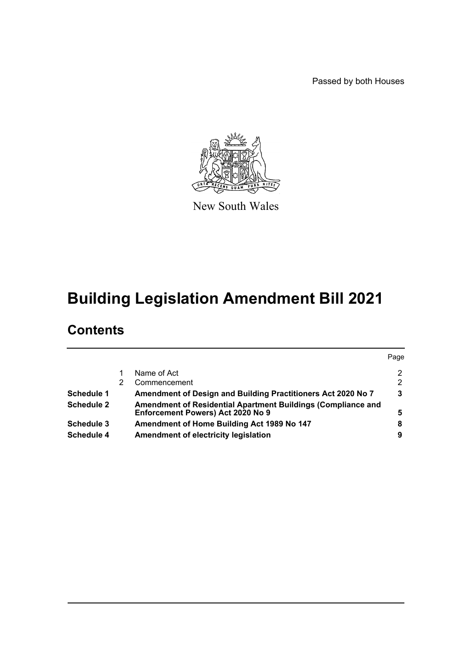Passed by both Houses



New South Wales

# **Building Legislation Amendment Bill 2021**

# **Contents**

|                   |                                                                                                   | Page |
|-------------------|---------------------------------------------------------------------------------------------------|------|
|                   | Name of Act                                                                                       | 2    |
|                   | Commencement                                                                                      | 2    |
| Schedule 1        | Amendment of Design and Building Practitioners Act 2020 No 7                                      | 3    |
| <b>Schedule 2</b> | Amendment of Residential Apartment Buildings (Compliance and<br>Enforcement Powers) Act 2020 No 9 | 5    |
| Schedule 3        | Amendment of Home Building Act 1989 No 147                                                        | 8    |
| <b>Schedule 4</b> | Amendment of electricity legislation                                                              | 9    |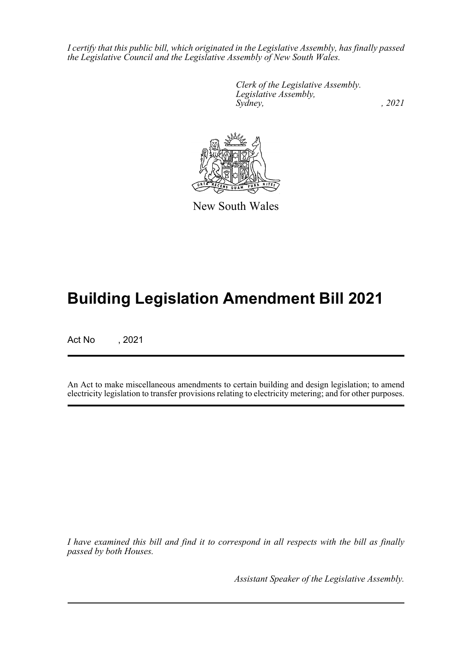*I certify that this public bill, which originated in the Legislative Assembly, has finally passed the Legislative Council and the Legislative Assembly of New South Wales.*

> *Clerk of the Legislative Assembly. Legislative Assembly, Sydney, , 2021*



New South Wales

# **Building Legislation Amendment Bill 2021**

Act No , 2021

An Act to make miscellaneous amendments to certain building and design legislation; to amend electricity legislation to transfer provisions relating to electricity metering; and for other purposes.

*I have examined this bill and find it to correspond in all respects with the bill as finally passed by both Houses.*

*Assistant Speaker of the Legislative Assembly.*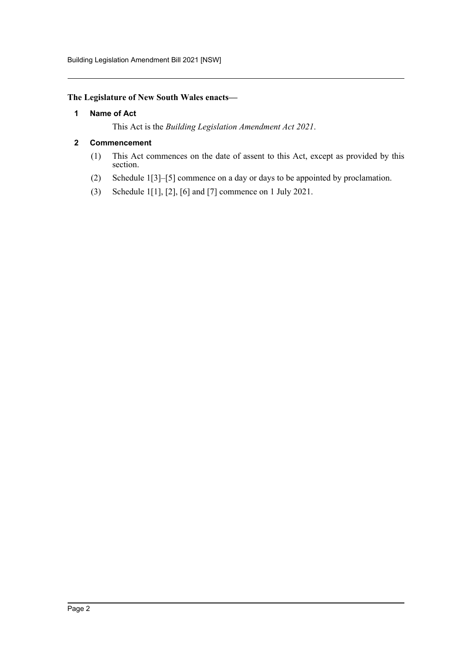# <span id="page-2-0"></span>**The Legislature of New South Wales enacts—**

# **1 Name of Act**

This Act is the *Building Legislation Amendment Act 2021*.

# <span id="page-2-1"></span>**2 Commencement**

- (1) This Act commences on the date of assent to this Act, except as provided by this section.
- (2) Schedule 1[3]–[5] commence on a day or days to be appointed by proclamation.
- (3) Schedule 1[1], [2], [6] and [7] commence on 1 July 2021.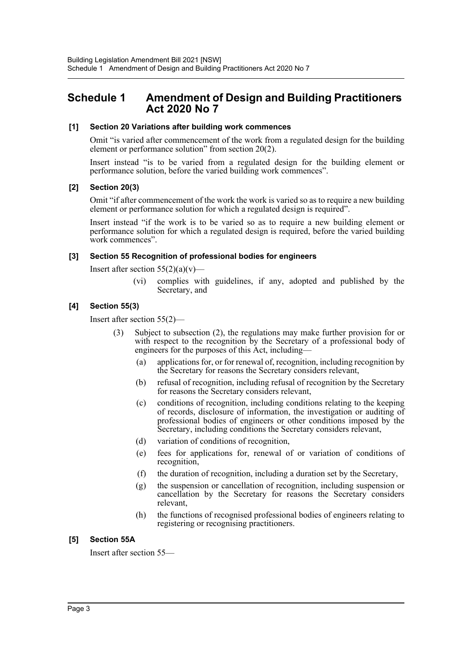# <span id="page-3-0"></span>**Schedule 1 Amendment of Design and Building Practitioners Act 2020 No 7**

#### **[1] Section 20 Variations after building work commences**

Omit "is varied after commencement of the work from a regulated design for the building element or performance solution" from section 20(2).

Insert instead "is to be varied from a regulated design for the building element or performance solution, before the varied building work commences".

#### **[2] Section 20(3)**

Omit "if after commencement of the work the work is varied so as to require a new building element or performance solution for which a regulated design is required".

Insert instead "if the work is to be varied so as to require a new building element or performance solution for which a regulated design is required, before the varied building work commences".

#### **[3] Section 55 Recognition of professional bodies for engineers**

Insert after section  $55(2)(a)(v)$ —

(vi) complies with guidelines, if any, adopted and published by the Secretary, and

#### **[4] Section 55(3)**

Insert after section 55(2)—

- (3) Subject to subsection (2), the regulations may make further provision for or with respect to the recognition by the Secretary of a professional body of engineers for the purposes of this Act, including—
	- (a) applications for, or for renewal of, recognition, including recognition by the Secretary for reasons the Secretary considers relevant,
	- (b) refusal of recognition, including refusal of recognition by the Secretary for reasons the Secretary considers relevant,
	- (c) conditions of recognition, including conditions relating to the keeping of records, disclosure of information, the investigation or auditing of professional bodies of engineers or other conditions imposed by the Secretary, including conditions the Secretary considers relevant,
	- (d) variation of conditions of recognition,
	- (e) fees for applications for, renewal of or variation of conditions of recognition,
	- (f) the duration of recognition, including a duration set by the Secretary,
	- (g) the suspension or cancellation of recognition, including suspension or cancellation by the Secretary for reasons the Secretary considers relevant,
	- (h) the functions of recognised professional bodies of engineers relating to registering or recognising practitioners.

#### **[5] Section 55A**

Insert after section 55—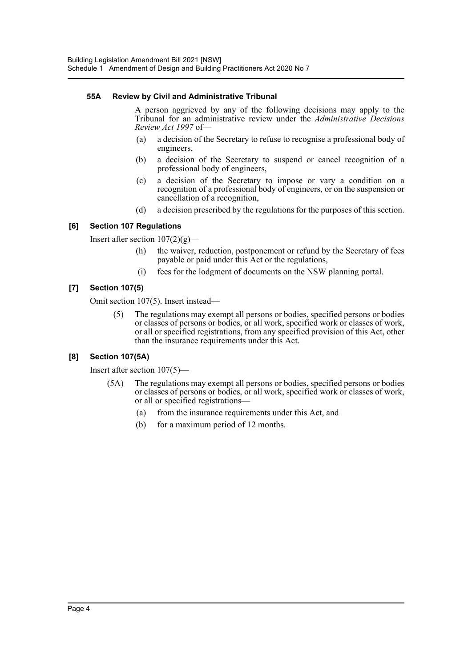## **55A Review by Civil and Administrative Tribunal**

A person aggrieved by any of the following decisions may apply to the Tribunal for an administrative review under the *Administrative Decisions Review Act 1997* of—

- (a) a decision of the Secretary to refuse to recognise a professional body of engineers,
- (b) a decision of the Secretary to suspend or cancel recognition of a professional body of engineers,
- (c) a decision of the Secretary to impose or vary a condition on a recognition of a professional body of engineers, or on the suspension or cancellation of a recognition,
- (d) a decision prescribed by the regulations for the purposes of this section.

## **[6] Section 107 Regulations**

Insert after section  $107(2)(g)$ —

- (h) the waiver, reduction, postponement or refund by the Secretary of fees payable or paid under this Act or the regulations,
- (i) fees for the lodgment of documents on the NSW planning portal.

## **[7] Section 107(5)**

Omit section 107(5). Insert instead—

(5) The regulations may exempt all persons or bodies, specified persons or bodies or classes of persons or bodies, or all work, specified work or classes of work, or all or specified registrations, from any specified provision of this Act, other than the insurance requirements under this Act.

# **[8] Section 107(5A)**

Insert after section 107(5)—

- (5A) The regulations may exempt all persons or bodies, specified persons or bodies or classes of persons or bodies, or all work, specified work or classes of work, or all or specified registrations—
	- (a) from the insurance requirements under this Act, and
	- (b) for a maximum period of 12 months.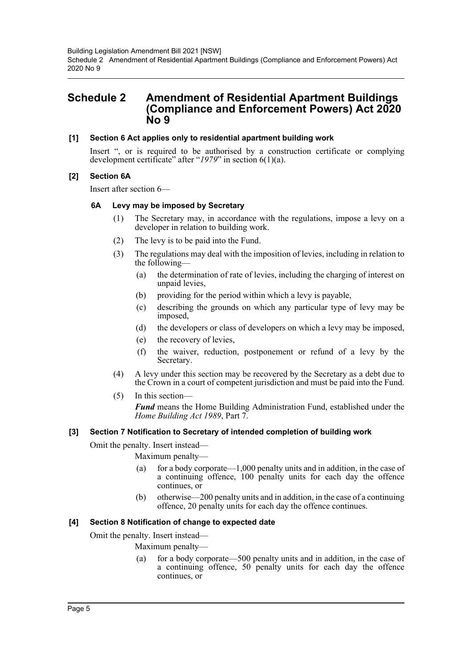# <span id="page-5-0"></span>**Schedule 2 Amendment of Residential Apartment Buildings (Compliance and Enforcement Powers) Act 2020 No 9**

## **[1] Section 6 Act applies only to residential apartment building work**

Insert ", or is required to be authorised by a construction certificate or complying development certificate" after "*1979*" in section 6(1)(a).

## **[2] Section 6A**

Insert after section 6—

## **6A Levy may be imposed by Secretary**

- (1) The Secretary may, in accordance with the regulations, impose a levy on a developer in relation to building work.
- (2) The levy is to be paid into the Fund.
- (3) The regulations may deal with the imposition of levies, including in relation to the following—
	- (a) the determination of rate of levies, including the charging of interest on unpaid levies,
	- (b) providing for the period within which a levy is payable,
	- (c) describing the grounds on which any particular type of levy may be imposed,
	- (d) the developers or class of developers on which a levy may be imposed,
	- (e) the recovery of levies,
	- (f) the waiver, reduction, postponement or refund of a levy by the Secretary.
- (4) A levy under this section may be recovered by the Secretary as a debt due to the Crown in a court of competent jurisdiction and must be paid into the Fund.
- (5) In this section—

*Fund* means the Home Building Administration Fund, established under the *Home Building Act 1989*, Part 7.

#### **[3] Section 7 Notification to Secretary of intended completion of building work**

Omit the penalty. Insert instead—

Maximum penalty—

- (a) for a body corporate—1,000 penalty units and in addition, in the case of a continuing offence, 100 penalty units for each day the offence continues, or
- (b) otherwise—200 penalty units and in addition, in the case of a continuing offence, 20 penalty units for each day the offence continues.

# **[4] Section 8 Notification of change to expected date**

Omit the penalty. Insert instead—

Maximum penalty—

(a) for a body corporate—500 penalty units and in addition, in the case of a continuing offence, 50 penalty units for each day the offence continues, or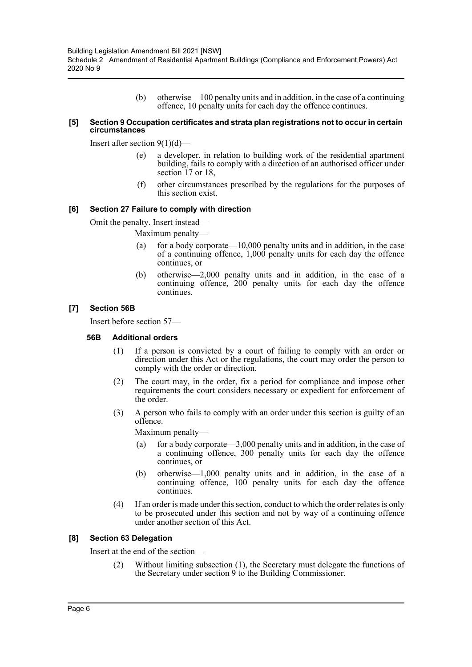(b) otherwise—100 penalty units and in addition, in the case of a continuing offence, 10 penalty units for each day the offence continues.

#### **[5] Section 9 Occupation certificates and strata plan registrations not to occur in certain circumstances**

Insert after section  $9(1)(d)$ —

- (e) a developer, in relation to building work of the residential apartment building, fails to comply with a direction of an authorised officer under section 17 or 18.
- (f) other circumstances prescribed by the regulations for the purposes of this section exist.

#### **[6] Section 27 Failure to comply with direction**

Omit the penalty. Insert instead—

Maximum penalty—

- (a) for a body corporate— $10,000$  penalty units and in addition, in the case of a continuing offence, 1,000 penalty units for each day the offence continues, or
- (b) otherwise—2,000 penalty units and in addition, in the case of a continuing offence, 200 penalty units for each day the offence continues.

#### **[7] Section 56B**

Insert before section 57—

#### **56B Additional orders**

- (1) If a person is convicted by a court of failing to comply with an order or direction under this Act or the regulations, the court may order the person to comply with the order or direction.
- (2) The court may, in the order, fix a period for compliance and impose other requirements the court considers necessary or expedient for enforcement of the order.
- (3) A person who fails to comply with an order under this section is guilty of an offence.

Maximum penalty—

- (a) for a body corporate—3,000 penalty units and in addition, in the case of a continuing offence, 300 penalty units for each day the offence continues, or
- (b) otherwise—1,000 penalty units and in addition, in the case of a continuing offence, 100 penalty units for each day the offence continues.
- (4) If an order is made under this section, conduct to which the order relates is only to be prosecuted under this section and not by way of a continuing offence under another section of this Act.

#### **[8] Section 63 Delegation**

Insert at the end of the section—

(2) Without limiting subsection (1), the Secretary must delegate the functions of the Secretary under section 9 to the Building Commissioner.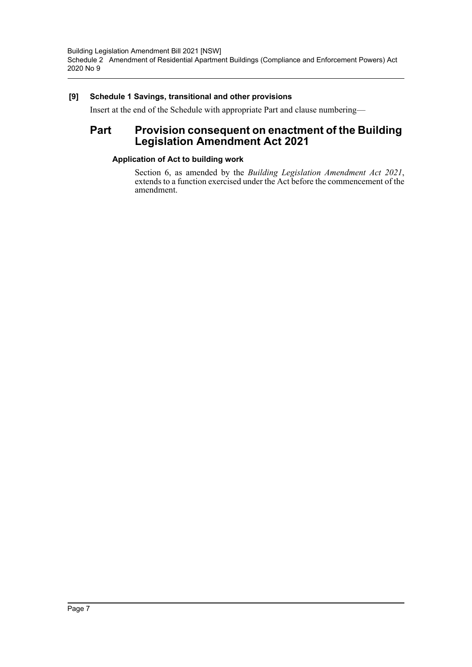# **[9] Schedule 1 Savings, transitional and other provisions**

Insert at the end of the Schedule with appropriate Part and clause numbering—

# **Part Provision consequent on enactment of the Building Legislation Amendment Act 2021**

## **Application of Act to building work**

Section 6, as amended by the *Building Legislation Amendment Act 2021*, extends to a function exercised under the Act before the commencement of the amendment.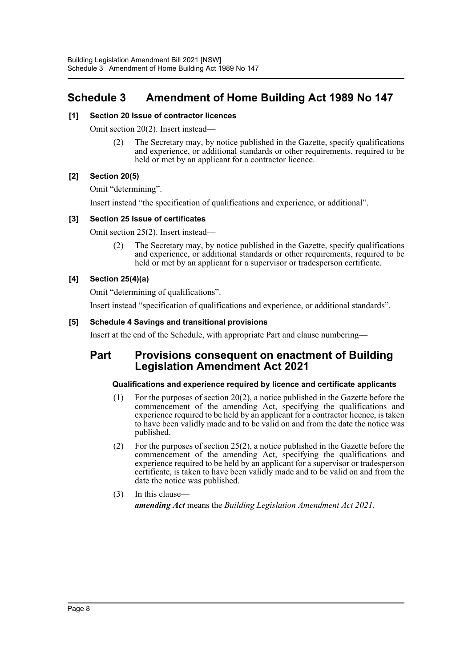# <span id="page-8-0"></span>**Schedule 3 Amendment of Home Building Act 1989 No 147**

## **[1] Section 20 Issue of contractor licences**

Omit section 20(2). Insert instead—

(2) The Secretary may, by notice published in the Gazette, specify qualifications and experience, or additional standards or other requirements, required to be held or met by an applicant for a contractor licence.

## **[2] Section 20(5)**

Omit "determining".

Insert instead "the specification of qualifications and experience, or additional".

## **[3] Section 25 Issue of certificates**

Omit section 25(2). Insert instead—

(2) The Secretary may, by notice published in the Gazette, specify qualifications and experience, or additional standards or other requirements, required to be held or met by an applicant for a supervisor or tradesperson certificate.

# **[4] Section 25(4)(a)**

Omit "determining of qualifications".

Insert instead "specification of qualifications and experience, or additional standards".

## **[5] Schedule 4 Savings and transitional provisions**

Insert at the end of the Schedule, with appropriate Part and clause numbering—

# **Part Provisions consequent on enactment of Building Legislation Amendment Act 2021**

#### **Qualifications and experience required by licence and certificate applicants**

- (1) For the purposes of section 20(2), a notice published in the Gazette before the commencement of the amending Act, specifying the qualifications and experience required to be held by an applicant for a contractor licence, is taken to have been validly made and to be valid on and from the date the notice was published.
- (2) For the purposes of section 25(2), a notice published in the Gazette before the commencement of the amending Act, specifying the qualifications and experience required to be held by an applicant for a supervisor or tradesperson certificate, is taken to have been validly made and to be valid on and from the date the notice was published.
- (3) In this clause *amending Act* means the *Building Legislation Amendment Act 2021*.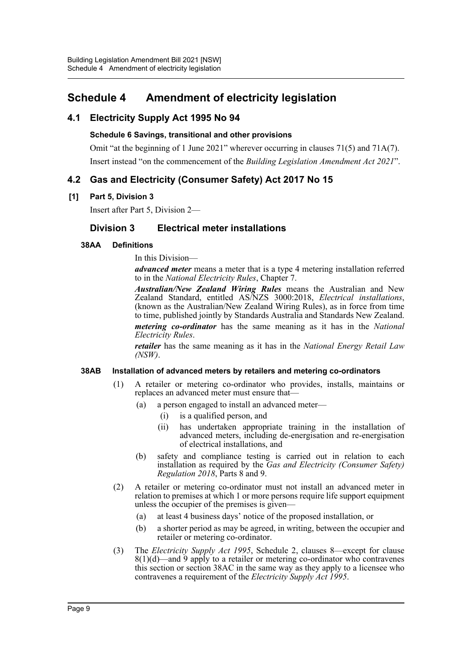# <span id="page-9-0"></span>**Schedule 4 Amendment of electricity legislation**

# **4.1 Electricity Supply Act 1995 No 94**

# **Schedule 6 Savings, transitional and other provisions**

Omit "at the beginning of 1 June 2021" wherever occurring in clauses 71(5) and 71 $A(7)$ . Insert instead "on the commencement of the *Building Legislation Amendment Act 2021*".

# **4.2 Gas and Electricity (Consumer Safety) Act 2017 No 15**

# **[1] Part 5, Division 3**

Insert after Part 5, Division 2—

# **Division 3 Electrical meter installations**

# **38AA Definitions**

In this Division—

*advanced meter* means a meter that is a type 4 metering installation referred to in the *National Electricity Rules*, Chapter 7.

*Australian/New Zealand Wiring Rules* means the Australian and New Zealand Standard, entitled AS/NZS 3000:2018, *Electrical installations*, (known as the Australian/New Zealand Wiring Rules), as in force from time to time, published jointly by Standards Australia and Standards New Zealand.

*metering co-ordinator* has the same meaning as it has in the *National Electricity Rules*.

*retailer* has the same meaning as it has in the *National Energy Retail Law (NSW)*.

#### **38AB Installation of advanced meters by retailers and metering co-ordinators**

- (1) A retailer or metering co-ordinator who provides, installs, maintains or replaces an advanced meter must ensure that—
	- (a) a person engaged to install an advanced meter—
		- (i) is a qualified person, and
		- (ii) has undertaken appropriate training in the installation of advanced meters, including de-energisation and re-energisation of electrical installations, and
	- (b) safety and compliance testing is carried out in relation to each installation as required by the *Gas and Electricity (Consumer Safety) Regulation 2018*, Parts 8 and 9.
- (2) A retailer or metering co-ordinator must not install an advanced meter in relation to premises at which 1 or more persons require life support equipment unless the occupier of the premises is given—
	- (a) at least 4 business days' notice of the proposed installation, or
	- (b) a shorter period as may be agreed, in writing, between the occupier and retailer or metering co-ordinator.
- (3) The *Electricity Supply Act 1995*, Schedule 2, clauses 8—except for clause  $8(1)(d)$ —and 9 apply to a retailer or metering co-ordinator who contravenes this section or section 38AC in the same way as they apply to a licensee who contravenes a requirement of the *Electricity Supply Act 1995*.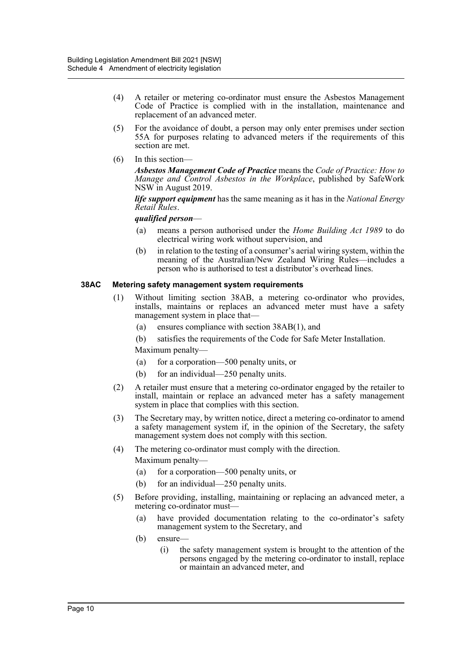- (4) A retailer or metering co-ordinator must ensure the Asbestos Management Code of Practice is complied with in the installation, maintenance and replacement of an advanced meter.
- (5) For the avoidance of doubt, a person may only enter premises under section 55A for purposes relating to advanced meters if the requirements of this section are met.
- (6) In this section—

*Asbestos Management Code of Practice* means the *Code of Practice: How to Manage and Control Asbestos in the Workplace*, published by SafeWork NSW in August 2019.

*life support equipment* has the same meaning as it has in the *National Energy Retail Rules*.

*qualified person*—

- (a) means a person authorised under the *Home Building Act 1989* to do electrical wiring work without supervision, and
- (b) in relation to the testing of a consumer's aerial wiring system, within the meaning of the Australian/New Zealand Wiring Rules—includes a person who is authorised to test a distributor's overhead lines.

#### **38AC Metering safety management system requirements**

- (1) Without limiting section 38AB, a metering co-ordinator who provides, installs, maintains or replaces an advanced meter must have a safety management system in place that—
	- (a) ensures compliance with section 38AB(1), and
	- (b) satisfies the requirements of the Code for Safe Meter Installation.

Maximum penalty—

- (a) for a corporation—500 penalty units, or
- (b) for an individual—250 penalty units.
- (2) A retailer must ensure that a metering co-ordinator engaged by the retailer to install, maintain or replace an advanced meter has a safety management system in place that complies with this section.
- (3) The Secretary may, by written notice, direct a metering co-ordinator to amend a safety management system if, in the opinion of the Secretary, the safety management system does not comply with this section.
- (4) The metering co-ordinator must comply with the direction. Maximum penalty—
	- (a) for a corporation—500 penalty units, or
	- (b) for an individual—250 penalty units.
- (5) Before providing, installing, maintaining or replacing an advanced meter, a metering co-ordinator must—
	- (a) have provided documentation relating to the co-ordinator's safety management system to the Secretary, and
	- (b) ensure—
		- (i) the safety management system is brought to the attention of the persons engaged by the metering co-ordinator to install, replace or maintain an advanced meter, and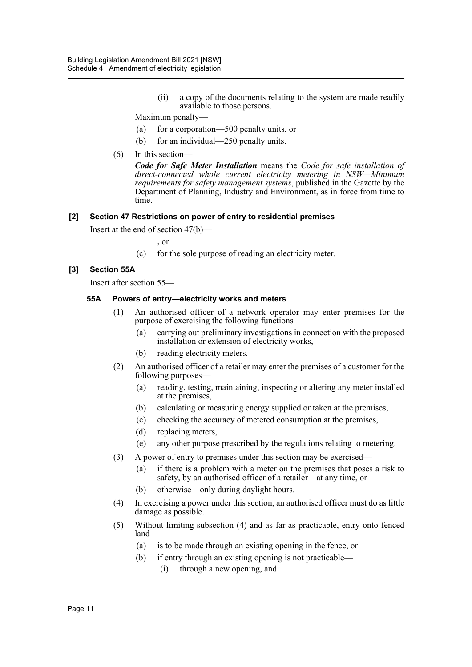(ii) a copy of the documents relating to the system are made readily available to those persons.

Maximum penalty—

- (a) for a corporation—500 penalty units, or
- (b) for an individual—250 penalty units.
- (6) In this section—

*Code for Safe Meter Installation* means the *Code for safe installation of direct-connected whole current electricity metering in NSW—Minimum requirements for safety management systems*, published in the Gazette by the Department of Planning, Industry and Environment, as in force from time to time.

#### **[2] Section 47 Restrictions on power of entry to residential premises**

Insert at the end of section 47(b)—

, or

(c) for the sole purpose of reading an electricity meter.

#### **[3] Section 55A**

Insert after section 55—

#### **55A Powers of entry—electricity works and meters**

- (1) An authorised officer of a network operator may enter premises for the purpose of exercising the following functions—
	- (a) carrying out preliminary investigations in connection with the proposed installation or extension of electricity works,
	- (b) reading electricity meters.
- (2) An authorised officer of a retailer may enter the premises of a customer for the following purposes—
	- (a) reading, testing, maintaining, inspecting or altering any meter installed at the premises,
	- (b) calculating or measuring energy supplied or taken at the premises,
	- (c) checking the accuracy of metered consumption at the premises,
	- (d) replacing meters,
	- (e) any other purpose prescribed by the regulations relating to metering.
- (3) A power of entry to premises under this section may be exercised—
	- (a) if there is a problem with a meter on the premises that poses a risk to safety, by an authorised officer of a retailer—at any time, or
	- (b) otherwise—only during daylight hours.
- (4) In exercising a power under this section, an authorised officer must do as little damage as possible.
- (5) Without limiting subsection (4) and as far as practicable, entry onto fenced land—
	- (a) is to be made through an existing opening in the fence, or
	- (b) if entry through an existing opening is not practicable—
		- (i) through a new opening, and